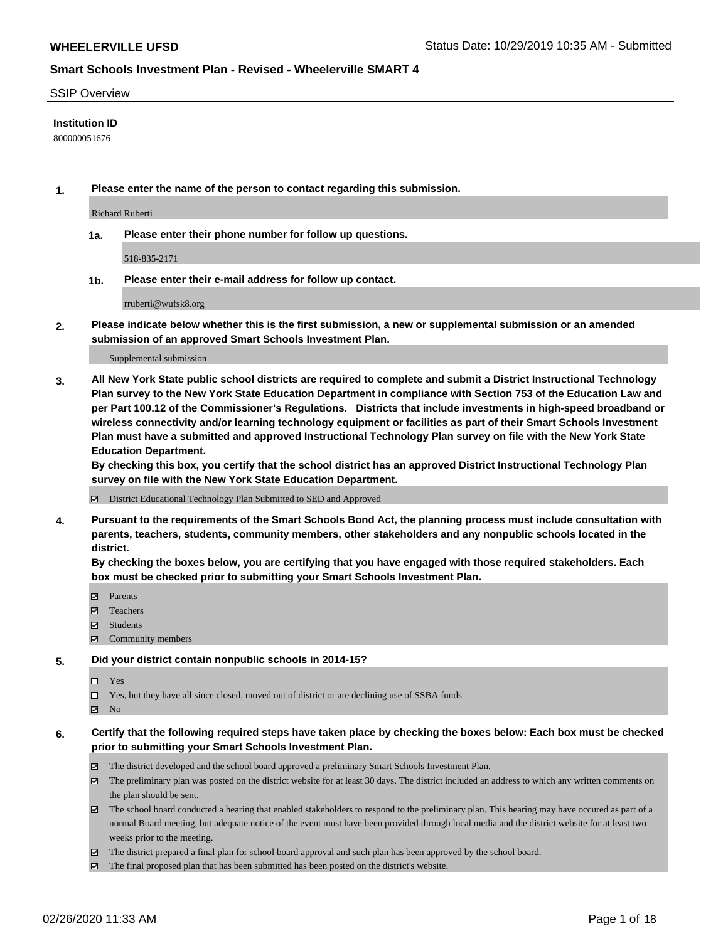#### SSIP Overview

### **Institution ID**

800000051676

**1. Please enter the name of the person to contact regarding this submission.**

Richard Ruberti

**1a. Please enter their phone number for follow up questions.**

518-835-2171

**1b. Please enter their e-mail address for follow up contact.**

rruberti@wufsk8.org

**2. Please indicate below whether this is the first submission, a new or supplemental submission or an amended submission of an approved Smart Schools Investment Plan.**

#### Supplemental submission

**3. All New York State public school districts are required to complete and submit a District Instructional Technology Plan survey to the New York State Education Department in compliance with Section 753 of the Education Law and per Part 100.12 of the Commissioner's Regulations. Districts that include investments in high-speed broadband or wireless connectivity and/or learning technology equipment or facilities as part of their Smart Schools Investment Plan must have a submitted and approved Instructional Technology Plan survey on file with the New York State Education Department.** 

**By checking this box, you certify that the school district has an approved District Instructional Technology Plan survey on file with the New York State Education Department.**

District Educational Technology Plan Submitted to SED and Approved

**4. Pursuant to the requirements of the Smart Schools Bond Act, the planning process must include consultation with parents, teachers, students, community members, other stakeholders and any nonpublic schools located in the district.** 

**By checking the boxes below, you are certifying that you have engaged with those required stakeholders. Each box must be checked prior to submitting your Smart Schools Investment Plan.**

- **マ** Parents
- Teachers
- Students
- $\Xi$  Community members

#### **5. Did your district contain nonpublic schools in 2014-15?**

 $\neg$  Yes

Yes, but they have all since closed, moved out of district or are declining use of SSBA funds

**Z** No

### **6. Certify that the following required steps have taken place by checking the boxes below: Each box must be checked prior to submitting your Smart Schools Investment Plan.**

- The district developed and the school board approved a preliminary Smart Schools Investment Plan.
- $\boxtimes$  The preliminary plan was posted on the district website for at least 30 days. The district included an address to which any written comments on the plan should be sent.
- $\boxtimes$  The school board conducted a hearing that enabled stakeholders to respond to the preliminary plan. This hearing may have occured as part of a normal Board meeting, but adequate notice of the event must have been provided through local media and the district website for at least two weeks prior to the meeting.
- The district prepared a final plan for school board approval and such plan has been approved by the school board.
- $\boxtimes$  The final proposed plan that has been submitted has been posted on the district's website.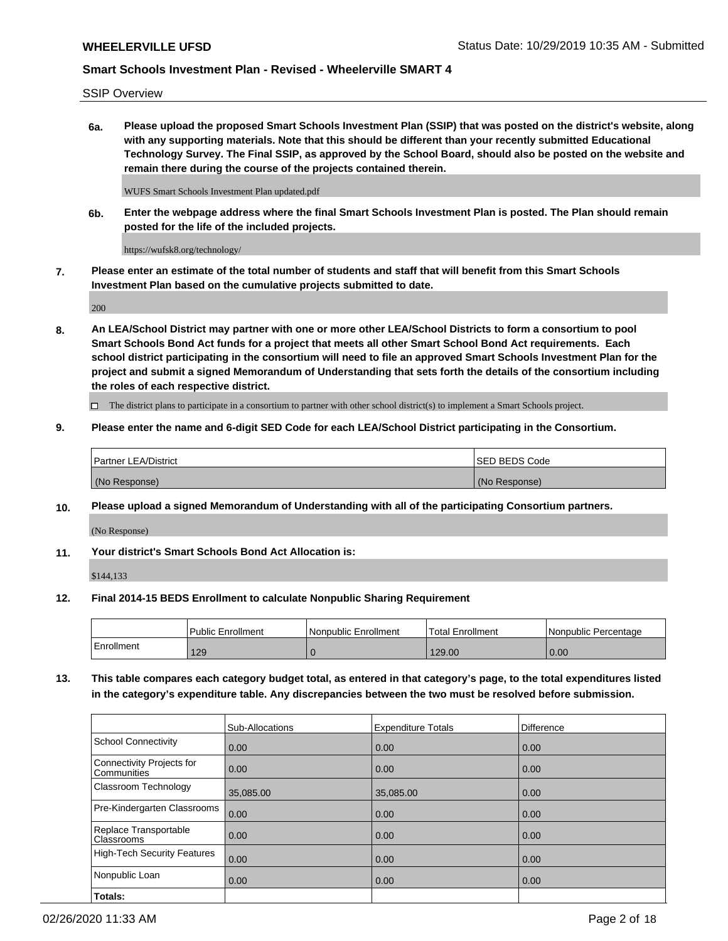SSIP Overview

**6a. Please upload the proposed Smart Schools Investment Plan (SSIP) that was posted on the district's website, along with any supporting materials. Note that this should be different than your recently submitted Educational Technology Survey. The Final SSIP, as approved by the School Board, should also be posted on the website and remain there during the course of the projects contained therein.**

WUFS Smart Schools Investment Plan updated.pdf

**6b. Enter the webpage address where the final Smart Schools Investment Plan is posted. The Plan should remain posted for the life of the included projects.**

https://wufsk8.org/technology/

**7. Please enter an estimate of the total number of students and staff that will benefit from this Smart Schools Investment Plan based on the cumulative projects submitted to date.**

200

**8. An LEA/School District may partner with one or more other LEA/School Districts to form a consortium to pool Smart Schools Bond Act funds for a project that meets all other Smart School Bond Act requirements. Each school district participating in the consortium will need to file an approved Smart Schools Investment Plan for the project and submit a signed Memorandum of Understanding that sets forth the details of the consortium including the roles of each respective district.**

 $\Box$  The district plans to participate in a consortium to partner with other school district(s) to implement a Smart Schools project.

### **9. Please enter the name and 6-digit SED Code for each LEA/School District participating in the Consortium.**

| <b>Partner LEA/District</b> | <b>ISED BEDS Code</b> |
|-----------------------------|-----------------------|
| (No Response)               | (No Response)         |

### **10. Please upload a signed Memorandum of Understanding with all of the participating Consortium partners.**

(No Response)

**11. Your district's Smart Schools Bond Act Allocation is:**

\$144,133

#### **12. Final 2014-15 BEDS Enrollment to calculate Nonpublic Sharing Requirement**

|            | <b>I Public Enrollment</b> | Nonpublic Enrollment | <b>Total Enrollment</b> | l Nonpublic Percentage |
|------------|----------------------------|----------------------|-------------------------|------------------------|
| Enrollment | 129                        |                      | 129.00                  | 0.00                   |

**13. This table compares each category budget total, as entered in that category's page, to the total expenditures listed in the category's expenditure table. Any discrepancies between the two must be resolved before submission.**

|                                          | Sub-Allocations | <b>Expenditure Totals</b> | Difference |
|------------------------------------------|-----------------|---------------------------|------------|
| <b>School Connectivity</b>               | 0.00            | 0.00                      | 0.00       |
| Connectivity Projects for<br>Communities | 0.00            | 0.00                      | 0.00       |
| Classroom Technology                     | 35,085.00       | 35,085.00                 | 0.00       |
| Pre-Kindergarten Classrooms              | 0.00            | 0.00                      | 0.00       |
| Replace Transportable<br>Classrooms      | 0.00            | 0.00                      | 0.00       |
| <b>High-Tech Security Features</b>       | 0.00            | 0.00                      | 0.00       |
| Nonpublic Loan                           | 0.00            | 0.00                      | 0.00       |
| Totals:                                  |                 |                           |            |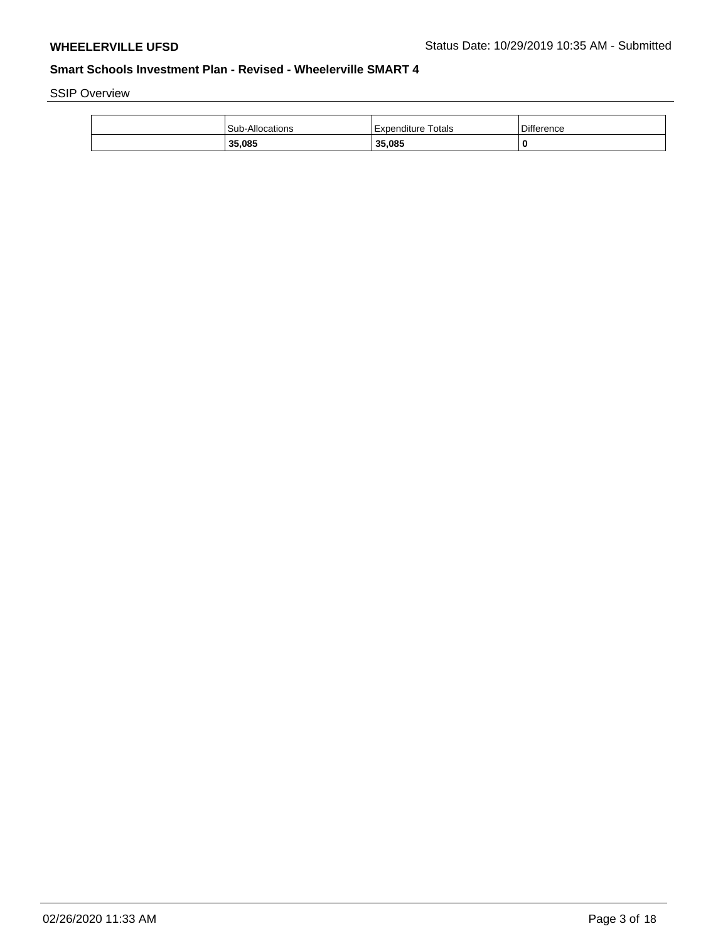SSIP Overview

| <b>Sub-Allocations</b> | Totals<br>l Expenditure | <b>Difference</b> |
|------------------------|-------------------------|-------------------|
| 35,085                 | 35,085                  | 0                 |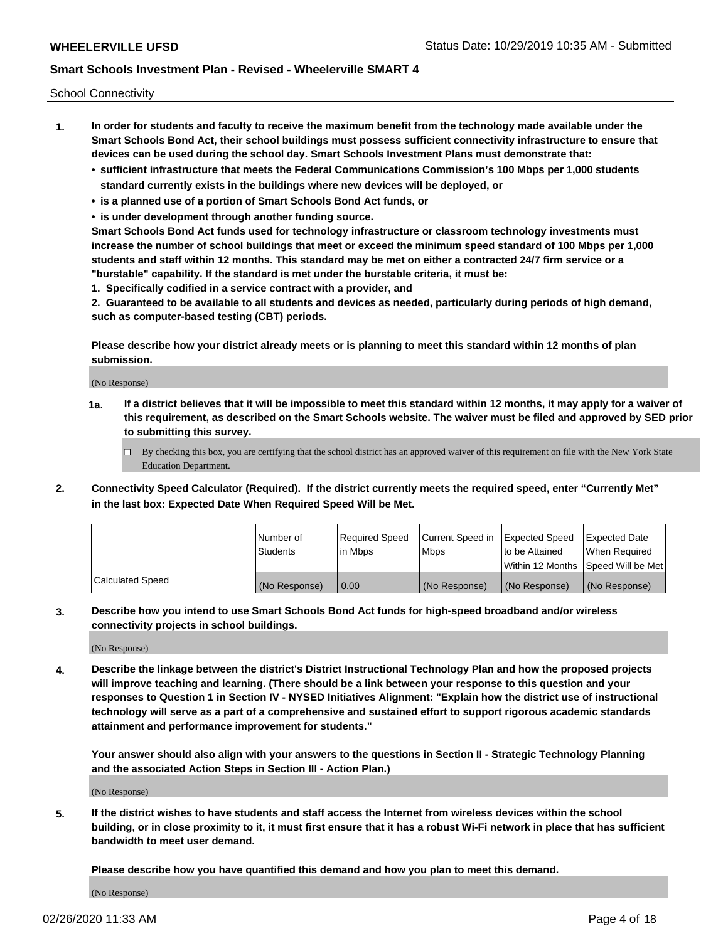School Connectivity

- **1. In order for students and faculty to receive the maximum benefit from the technology made available under the Smart Schools Bond Act, their school buildings must possess sufficient connectivity infrastructure to ensure that devices can be used during the school day. Smart Schools Investment Plans must demonstrate that:**
	- **• sufficient infrastructure that meets the Federal Communications Commission's 100 Mbps per 1,000 students standard currently exists in the buildings where new devices will be deployed, or**
	- **• is a planned use of a portion of Smart Schools Bond Act funds, or**
	- **• is under development through another funding source.**

**Smart Schools Bond Act funds used for technology infrastructure or classroom technology investments must increase the number of school buildings that meet or exceed the minimum speed standard of 100 Mbps per 1,000 students and staff within 12 months. This standard may be met on either a contracted 24/7 firm service or a "burstable" capability. If the standard is met under the burstable criteria, it must be:**

**1. Specifically codified in a service contract with a provider, and**

**2. Guaranteed to be available to all students and devices as needed, particularly during periods of high demand, such as computer-based testing (CBT) periods.**

**Please describe how your district already meets or is planning to meet this standard within 12 months of plan submission.**

(No Response)

**1a. If a district believes that it will be impossible to meet this standard within 12 months, it may apply for a waiver of this requirement, as described on the Smart Schools website. The waiver must be filed and approved by SED prior to submitting this survey.**

 $\Box$  By checking this box, you are certifying that the school district has an approved waiver of this requirement on file with the New York State Education Department.

**2. Connectivity Speed Calculator (Required). If the district currently meets the required speed, enter "Currently Met" in the last box: Expected Date When Required Speed Will be Met.**

|                  | l Number of     | Required Speed | Current Speed in | Expected Speed  | Expected Date                           |
|------------------|-----------------|----------------|------------------|-----------------|-----------------------------------------|
|                  | <b>Students</b> | In Mbps        | l Mbps           | to be Attained  | When Required                           |
|                  |                 |                |                  |                 | l Within 12 Months ISpeed Will be Met l |
| Calculated Speed | (No Response)   | 0.00           | (No Response)    | l (No Response) | l (No Response)                         |

**3. Describe how you intend to use Smart Schools Bond Act funds for high-speed broadband and/or wireless connectivity projects in school buildings.**

(No Response)

**4. Describe the linkage between the district's District Instructional Technology Plan and how the proposed projects will improve teaching and learning. (There should be a link between your response to this question and your responses to Question 1 in Section IV - NYSED Initiatives Alignment: "Explain how the district use of instructional technology will serve as a part of a comprehensive and sustained effort to support rigorous academic standards attainment and performance improvement for students."** 

**Your answer should also align with your answers to the questions in Section II - Strategic Technology Planning and the associated Action Steps in Section III - Action Plan.)**

(No Response)

**5. If the district wishes to have students and staff access the Internet from wireless devices within the school building, or in close proximity to it, it must first ensure that it has a robust Wi-Fi network in place that has sufficient bandwidth to meet user demand.**

**Please describe how you have quantified this demand and how you plan to meet this demand.**

(No Response)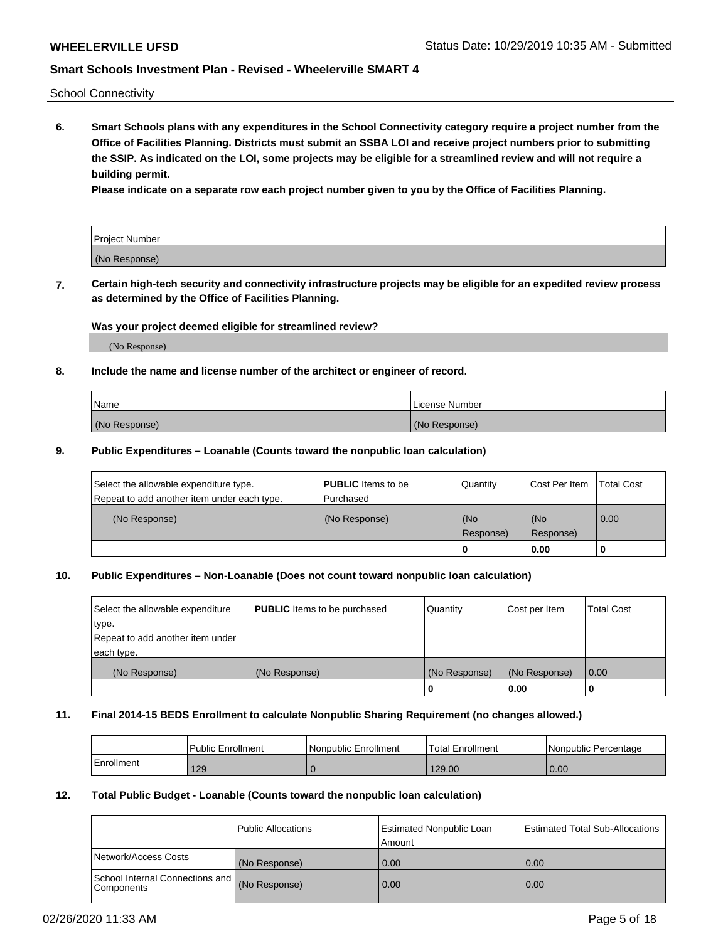School Connectivity

**6. Smart Schools plans with any expenditures in the School Connectivity category require a project number from the Office of Facilities Planning. Districts must submit an SSBA LOI and receive project numbers prior to submitting the SSIP. As indicated on the LOI, some projects may be eligible for a streamlined review and will not require a building permit.**

**Please indicate on a separate row each project number given to you by the Office of Facilities Planning.**

| Project Number |  |
|----------------|--|
| (No Response)  |  |

**7. Certain high-tech security and connectivity infrastructure projects may be eligible for an expedited review process as determined by the Office of Facilities Planning.**

### **Was your project deemed eligible for streamlined review?**

(No Response)

### **8. Include the name and license number of the architect or engineer of record.**

| Name          | License Number |
|---------------|----------------|
| (No Response) | (No Response)  |

### **9. Public Expenditures – Loanable (Counts toward the nonpublic loan calculation)**

| Select the allowable expenditure type.<br>Repeat to add another item under each type. | <b>PUBLIC</b> Items to be<br>l Purchased | Quantity           | Cost Per Item    | <b>Total Cost</b> |
|---------------------------------------------------------------------------------------|------------------------------------------|--------------------|------------------|-------------------|
| (No Response)                                                                         | (No Response)                            | l (No<br>Response) | (No<br>Response) | $\overline{0.00}$ |
|                                                                                       |                                          | O                  | 0.00             |                   |

## **10. Public Expenditures – Non-Loanable (Does not count toward nonpublic loan calculation)**

| Select the allowable expenditure | <b>PUBLIC</b> Items to be purchased | Quantity      | Cost per Item | <b>Total Cost</b> |
|----------------------------------|-------------------------------------|---------------|---------------|-------------------|
| type.                            |                                     |               |               |                   |
| Repeat to add another item under |                                     |               |               |                   |
| each type.                       |                                     |               |               |                   |
| (No Response)                    | (No Response)                       | (No Response) | (No Response) | 0.00              |
|                                  |                                     | U             | 0.00          |                   |

#### **11. Final 2014-15 BEDS Enrollment to calculate Nonpublic Sharing Requirement (no changes allowed.)**

|            | Public Enrollment | l Nonpublic Enrollment | <b>Total Enrollment</b> | Nonpublic Percentage |
|------------|-------------------|------------------------|-------------------------|----------------------|
| Enrollment | 129               |                        | 129.00                  | 0.00                 |

#### **12. Total Public Budget - Loanable (Counts toward the nonpublic loan calculation)**

|                                                      | Public Allocations | <b>Estimated Nonpublic Loan</b><br>Amount | Estimated Total Sub-Allocations |
|------------------------------------------------------|--------------------|-------------------------------------------|---------------------------------|
| Network/Access Costs                                 | (No Response)      | 0.00                                      | 0.00                            |
| School Internal Connections and<br><b>Components</b> | (No Response)      | 0.00                                      | 0.00                            |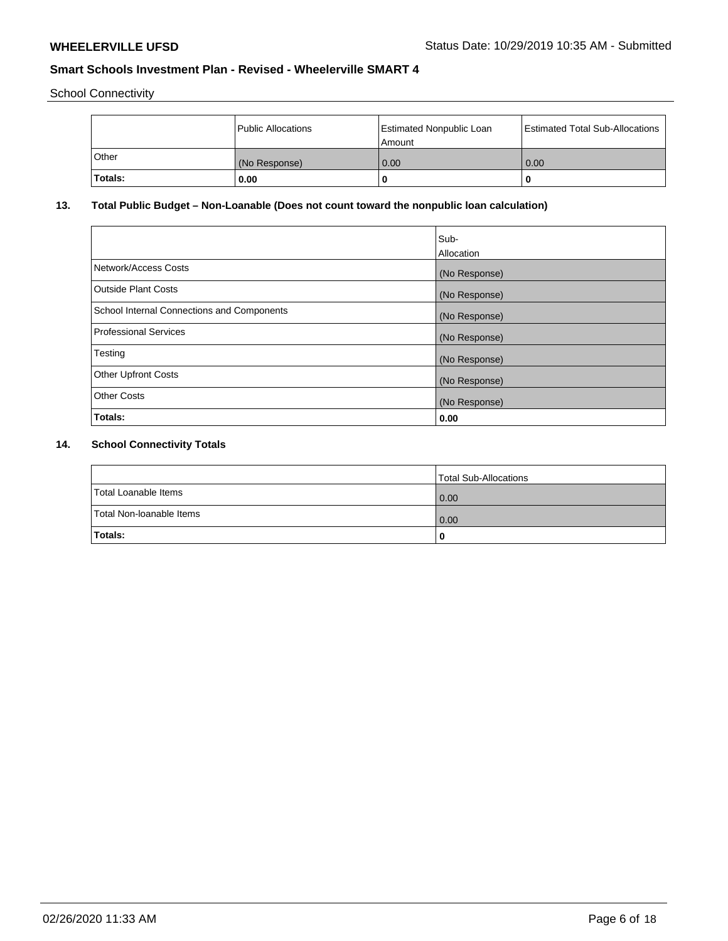School Connectivity

|         | Public Allocations | <b>Estimated Nonpublic Loan</b><br>l Amount | <b>Estimated Total Sub-Allocations</b> |
|---------|--------------------|---------------------------------------------|----------------------------------------|
| l Other | (No Response)      | 0.00                                        | 0.00                                   |
| Totals: | 0.00               | 0                                           |                                        |

# **13. Total Public Budget – Non-Loanable (Does not count toward the nonpublic loan calculation)**

|                                                   | Sub-<br>Allocation |
|---------------------------------------------------|--------------------|
|                                                   |                    |
| Network/Access Costs                              | (No Response)      |
| <b>Outside Plant Costs</b>                        | (No Response)      |
| <b>School Internal Connections and Components</b> | (No Response)      |
| Professional Services                             | (No Response)      |
| Testing                                           | (No Response)      |
| <b>Other Upfront Costs</b>                        | (No Response)      |
| <b>Other Costs</b>                                | (No Response)      |
| <b>Totals:</b>                                    | 0.00               |

# **14. School Connectivity Totals**

|                          | Total Sub-Allocations |
|--------------------------|-----------------------|
| Total Loanable Items     | 0.00                  |
| Total Non-Ioanable Items | 0.00                  |
| Totals:                  |                       |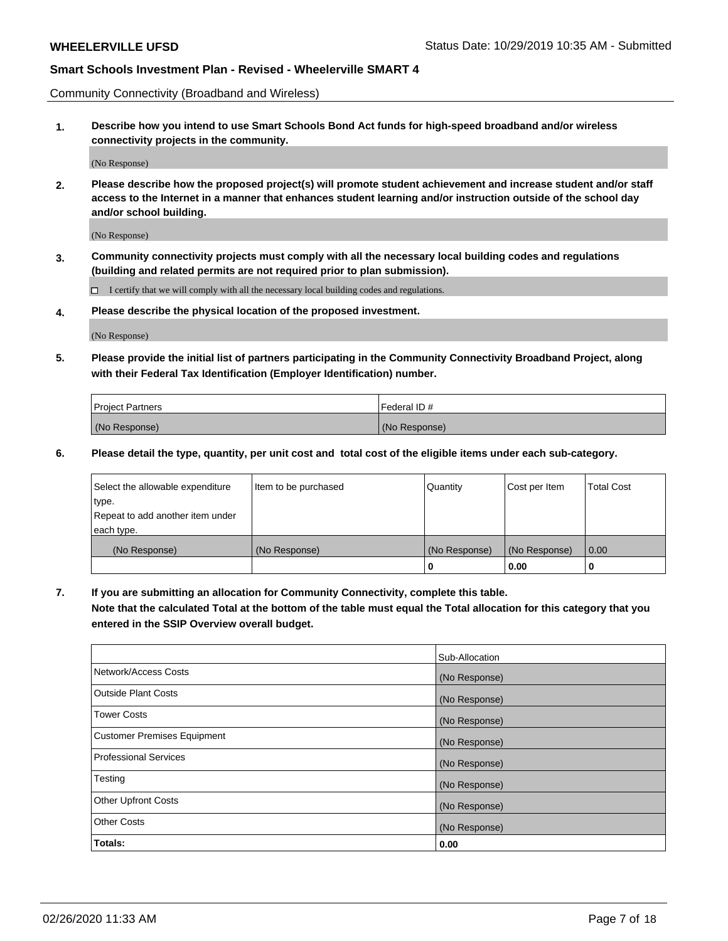Community Connectivity (Broadband and Wireless)

**1. Describe how you intend to use Smart Schools Bond Act funds for high-speed broadband and/or wireless connectivity projects in the community.**

(No Response)

**2. Please describe how the proposed project(s) will promote student achievement and increase student and/or staff access to the Internet in a manner that enhances student learning and/or instruction outside of the school day and/or school building.**

(No Response)

**3. Community connectivity projects must comply with all the necessary local building codes and regulations (building and related permits are not required prior to plan submission).**

 $\Box$  I certify that we will comply with all the necessary local building codes and regulations.

**4. Please describe the physical location of the proposed investment.**

(No Response)

**5. Please provide the initial list of partners participating in the Community Connectivity Broadband Project, along with their Federal Tax Identification (Employer Identification) number.**

| <b>Project Partners</b> | l Federal ID # |
|-------------------------|----------------|
| (No Response)           | (No Response)  |

**6. Please detail the type, quantity, per unit cost and total cost of the eligible items under each sub-category.**

| Select the allowable expenditure | Item to be purchased | Quantity      | Cost per Item | <b>Total Cost</b> |
|----------------------------------|----------------------|---------------|---------------|-------------------|
| type.                            |                      |               |               |                   |
| Repeat to add another item under |                      |               |               |                   |
| each type.                       |                      |               |               |                   |
| (No Response)                    | (No Response)        | (No Response) | (No Response) | 0.00              |
|                                  |                      | U             | 0.00          |                   |

**7. If you are submitting an allocation for Community Connectivity, complete this table.**

**Note that the calculated Total at the bottom of the table must equal the Total allocation for this category that you entered in the SSIP Overview overall budget.**

|                                    | Sub-Allocation |
|------------------------------------|----------------|
| Network/Access Costs               | (No Response)  |
| Outside Plant Costs                | (No Response)  |
| <b>Tower Costs</b>                 | (No Response)  |
| <b>Customer Premises Equipment</b> | (No Response)  |
| <b>Professional Services</b>       | (No Response)  |
| Testing                            | (No Response)  |
| <b>Other Upfront Costs</b>         | (No Response)  |
| <b>Other Costs</b>                 | (No Response)  |
| Totals:                            | 0.00           |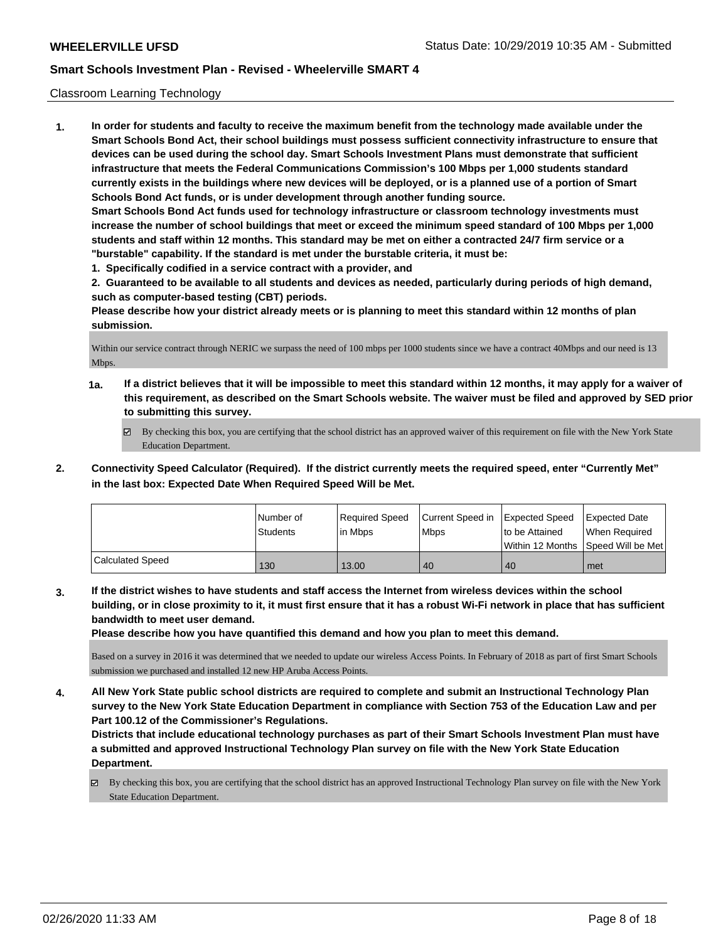### Classroom Learning Technology

**1. In order for students and faculty to receive the maximum benefit from the technology made available under the Smart Schools Bond Act, their school buildings must possess sufficient connectivity infrastructure to ensure that devices can be used during the school day. Smart Schools Investment Plans must demonstrate that sufficient infrastructure that meets the Federal Communications Commission's 100 Mbps per 1,000 students standard currently exists in the buildings where new devices will be deployed, or is a planned use of a portion of Smart Schools Bond Act funds, or is under development through another funding source. Smart Schools Bond Act funds used for technology infrastructure or classroom technology investments must increase the number of school buildings that meet or exceed the minimum speed standard of 100 Mbps per 1,000 students and staff within 12 months. This standard may be met on either a contracted 24/7 firm service or a "burstable" capability. If the standard is met under the burstable criteria, it must be:**

**1. Specifically codified in a service contract with a provider, and**

**2. Guaranteed to be available to all students and devices as needed, particularly during periods of high demand, such as computer-based testing (CBT) periods.**

**Please describe how your district already meets or is planning to meet this standard within 12 months of plan submission.**

Within our service contract through NERIC we surpass the need of 100 mbps per 1000 students since we have a contract 40Mbps and our need is 13 Mbps.

- **1a. If a district believes that it will be impossible to meet this standard within 12 months, it may apply for a waiver of this requirement, as described on the Smart Schools website. The waiver must be filed and approved by SED prior to submitting this survey.**
	- By checking this box, you are certifying that the school district has an approved waiver of this requirement on file with the New York State Education Department.
- **2. Connectivity Speed Calculator (Required). If the district currently meets the required speed, enter "Currently Met" in the last box: Expected Date When Required Speed Will be Met.**

|                  | l Number of<br><b>Students</b> | Required Speed<br>l in Mbps | Current Speed in Expected Speed<br><b>Mbps</b> | to be Attained<br>l Within 12 Months | <b>Expected Date</b><br>When Reauired<br>Speed Will be Met |
|------------------|--------------------------------|-----------------------------|------------------------------------------------|--------------------------------------|------------------------------------------------------------|
| Calculated Speed | 130                            | 13.00                       | 40                                             | 40                                   | met                                                        |

**3. If the district wishes to have students and staff access the Internet from wireless devices within the school building, or in close proximity to it, it must first ensure that it has a robust Wi-Fi network in place that has sufficient bandwidth to meet user demand.**

**Please describe how you have quantified this demand and how you plan to meet this demand.**

Based on a survey in 2016 it was determined that we needed to update our wireless Access Points. In February of 2018 as part of first Smart Schools submission we purchased and installed 12 new HP Aruba Access Points.

**4. All New York State public school districts are required to complete and submit an Instructional Technology Plan survey to the New York State Education Department in compliance with Section 753 of the Education Law and per Part 100.12 of the Commissioner's Regulations.**

**Districts that include educational technology purchases as part of their Smart Schools Investment Plan must have a submitted and approved Instructional Technology Plan survey on file with the New York State Education Department.**

By checking this box, you are certifying that the school district has an approved Instructional Technology Plan survey on file with the New York State Education Department.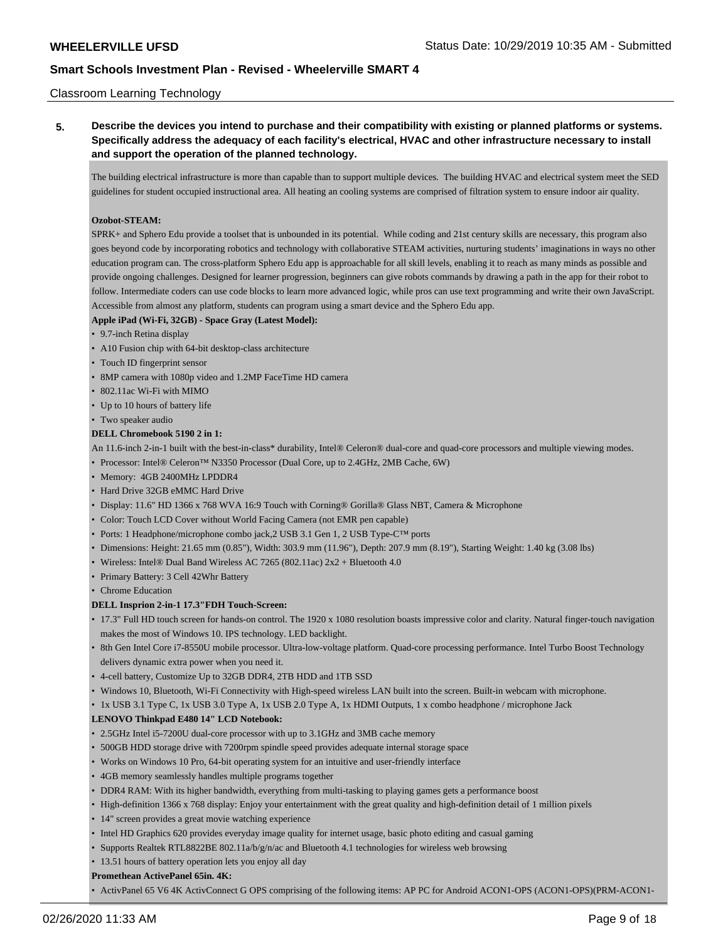### Classroom Learning Technology

**5. Describe the devices you intend to purchase and their compatibility with existing or planned platforms or systems. Specifically address the adequacy of each facility's electrical, HVAC and other infrastructure necessary to install and support the operation of the planned technology.**

The building electrical infrastructure is more than capable than to support multiple devices. The building HVAC and electrical system meet the SED guidelines for student occupied instructional area. All heating an cooling systems are comprised of filtration system to ensure indoor air quality.

#### **Ozobot-STEAM:**

SPRK+ and Sphero Edu provide a toolset that is unbounded in its potential. While coding and 21st century skills are necessary, this program also goes beyond code by incorporating robotics and technology with collaborative STEAM activities, nurturing students' imaginations in ways no other education program can. The cross-platform Sphero Edu app is approachable for all skill levels, enabling it to reach as many minds as possible and provide ongoing challenges. Designed for learner progression, beginners can give robots commands by drawing a path in the app for their robot to follow. Intermediate coders can use code blocks to learn more advanced logic, while pros can use text programming and write their own JavaScript. Accessible from almost any platform, students can program using a smart device and the Sphero Edu app.

### **Apple iPad (Wi-Fi, 32GB) - Space Gray (Latest Model):**

- 9.7-inch Retina display
- A10 Fusion chip with 64-bit desktop-class architecture
- Touch ID fingerprint sensor
- 8MP camera with 1080p video and 1.2MP FaceTime HD camera
- 802.11ac Wi-Fi with MIMO
- Up to 10 hours of battery life
- Two speaker audio

### **DELL Chromebook 5190 2 in 1:**

- An 11.6-inch 2-in-1 built with the best-in-class\* durability, Intel® Celeron® dual-core and quad-core processors and multiple viewing modes.
- Processor: Intel® Celeron™ N3350 Processor (Dual Core, up to 2.4GHz, 2MB Cache, 6W)
- Memory: 4GB 2400MHz LPDDR4
- Hard Drive 32GB eMMC Hard Drive
- Display: 11.6" HD 1366 x 768 WVA 16:9 Touch with Corning® Gorilla® Glass NBT, Camera & Microphone
- Color: Touch LCD Cover without World Facing Camera (not EMR pen capable)
- Ports: 1 Headphone/microphone combo jack, 2 USB 3.1 Gen 1, 2 USB Type-C<sup>TM</sup> ports
- Dimensions: Height: 21.65 mm (0.85"), Width: 303.9 mm (11.96"), Depth: 207.9 mm (8.19"), Starting Weight: 1.40 kg (3.08 lbs)
- Wireless: Intel® Dual Band Wireless AC 7265 (802.11ac) 2x2 + Bluetooth 4.0
- Primary Battery: 3 Cell 42Whr Battery
- Chrome Education

### **DELL Insprion 2-in-1 17.3"FDH Touch-Screen:**

- 17.3" Full HD touch screen for hands-on control. The 1920 x 1080 resolution boasts impressive color and clarity. Natural finger-touch navigation makes the most of Windows 10. IPS technology. LED backlight.
- 8th Gen Intel Core i7-8550U mobile processor. Ultra-low-voltage platform. Quad-core processing performance. Intel Turbo Boost Technology delivers dynamic extra power when you need it.
- 4-cell battery, Customize Up to 32GB DDR4, 2TB HDD and 1TB SSD
- Windows 10, Bluetooth, Wi-Fi Connectivity with High-speed wireless LAN built into the screen. Built-in webcam with microphone.
- 1x USB 3.1 Type C, 1x USB 3.0 Type A, 1x USB 2.0 Type A, 1x HDMI Outputs, 1 x combo headphone / microphone Jack

# **LENOVO Thinkpad E480 14" LCD Notebook:**

- 2.5GHz Intel i5-7200U dual-core processor with up to 3.1GHz and 3MB cache memory
- 500GB HDD storage drive with 7200rpm spindle speed provides adequate internal storage space
- Works on Windows 10 Pro, 64-bit operating system for an intuitive and user-friendly interface
- 4GB memory seamlessly handles multiple programs together
- DDR4 RAM: With its higher bandwidth, everything from multi-tasking to playing games gets a performance boost
- High-definition 1366 x 768 display: Enjoy your entertainment with the great quality and high-definition detail of 1 million pixels
- 14" screen provides a great movie watching experience
- Intel HD Graphics 620 provides everyday image quality for internet usage, basic photo editing and casual gaming
- Supports Realtek RTL8822BE 802.11a/b/g/n/ac and Bluetooth 4.1 technologies for wireless web browsing
- 13.51 hours of battery operation lets you enjoy all day

### **Promethean ActivePanel 65in. 4K:**

• ActivPanel 65 V6 4K ActivConnect G OPS comprising of the following items: AP PC for Android ACON1-OPS (ACON1-OPS)(PRM-ACON1-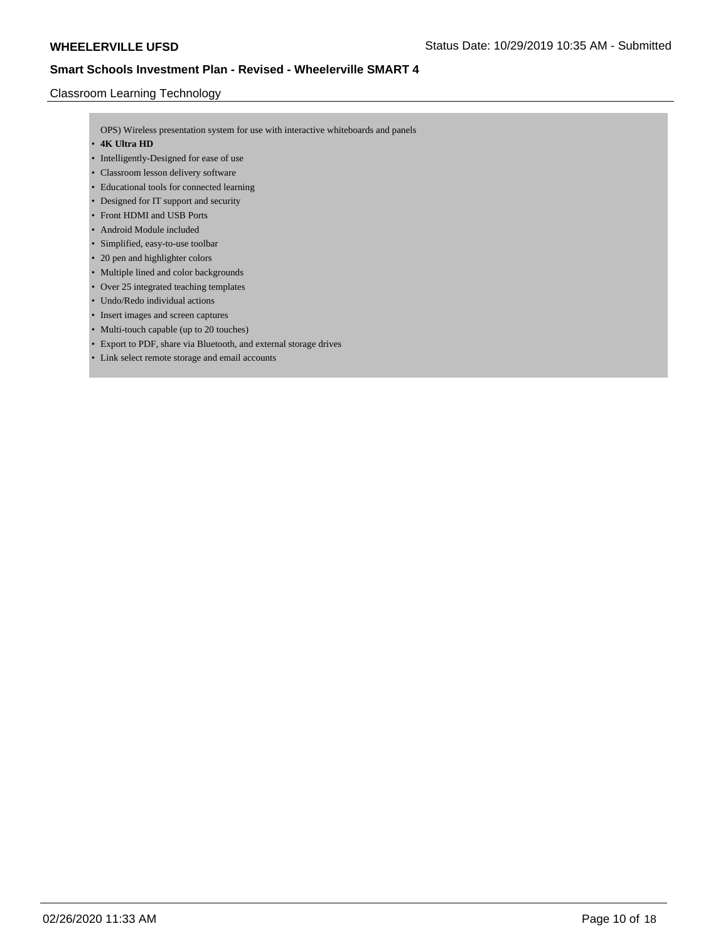## Classroom Learning Technology

OPS) Wireless presentation system for use with interactive whiteboards and panels

- **4K Ultra HD**
- Intelligently-Designed for ease of use
- Classroom lesson delivery software
- Educational tools for connected learning
- Designed for IT support and security
- Front HDMI and USB Ports
- Android Module included
- Simplified, easy-to-use toolbar
- 20 pen and highlighter colors
- Multiple lined and color backgrounds
- Over 25 integrated teaching templates
- Undo/Redo individual actions
- Insert images and screen captures
- Multi-touch capable (up to 20 touches)
- Export to PDF, share via Bluetooth, and external storage drives
- Link select remote storage and email accounts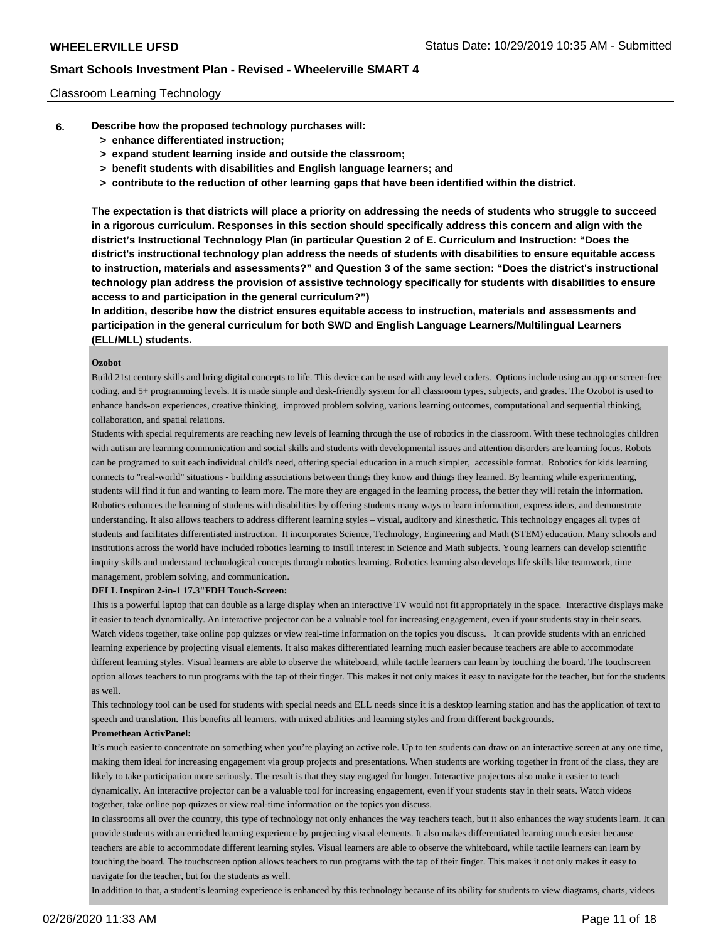### Classroom Learning Technology

- **6. Describe how the proposed technology purchases will:**
	- **> enhance differentiated instruction;**
	- **> expand student learning inside and outside the classroom;**
	- **> benefit students with disabilities and English language learners; and**
	- **> contribute to the reduction of other learning gaps that have been identified within the district.**

**The expectation is that districts will place a priority on addressing the needs of students who struggle to succeed in a rigorous curriculum. Responses in this section should specifically address this concern and align with the district's Instructional Technology Plan (in particular Question 2 of E. Curriculum and Instruction: "Does the district's instructional technology plan address the needs of students with disabilities to ensure equitable access to instruction, materials and assessments?" and Question 3 of the same section: "Does the district's instructional technology plan address the provision of assistive technology specifically for students with disabilities to ensure access to and participation in the general curriculum?")**

**In addition, describe how the district ensures equitable access to instruction, materials and assessments and participation in the general curriculum for both SWD and English Language Learners/Multilingual Learners (ELL/MLL) students.**

#### **Ozobot**

Build 21st century skills and bring digital concepts to life. This device can be used with any level coders. Options include using an app or screen-free coding, and 5+ programming levels. It is made simple and desk-friendly system for all classroom types, subjects, and grades. The Ozobot is used to enhance hands-on experiences, creative thinking, improved problem solving, various learning outcomes, computational and sequential thinking, collaboration, and spatial relations.

Students with special requirements are reaching new levels of learning through the use of robotics in the classroom. With these technologies children with autism are learning communication and social skills and students with developmental issues and attention disorders are learning focus. Robots can be programed to suit each individual child's need, offering special education in a much simpler, accessible format. Robotics for kids learning connects to "real-world" situations - building associations between things they know and things they learned. By learning while experimenting, students will find it fun and wanting to learn more. The more they are engaged in the learning process, the better they will retain the information. Robotics enhances the learning of students with disabilities by offering students many ways to learn information, express ideas, and demonstrate understanding. It also allows teachers to address different learning styles – visual, auditory and kinesthetic. This technology engages all types of students and facilitates differentiated instruction. It incorporates Science, Technology, Engineering and Math (STEM) education. Many schools and institutions across the world have included robotics learning to instill interest in Science and Math subjects. Young learners can develop scientific inquiry skills and understand technological concepts through robotics learning. Robotics learning also develops life skills like teamwork, time management, problem solving, and communication.

#### **DELL Inspiron 2-in-1 17.3"FDH Touch-Screen:**

This is a powerful laptop that can double as a large display when an interactive TV would not fit appropriately in the space. Interactive displays make it easier to teach dynamically. An interactive projector can be a valuable tool for increasing engagement, even if your students stay in their seats. Watch videos together, take online pop quizzes or view real-time information on the topics you discuss. It can provide students with an enriched learning experience by projecting visual elements. It also makes differentiated learning much easier because teachers are able to accommodate different learning styles. Visual learners are able to observe the whiteboard, while tactile learners can learn by touching the board. The touchscreen option allows teachers to run programs with the tap of their finger. This makes it not only makes it easy to navigate for the teacher, but for the students as well.

This technology tool can be used for students with special needs and ELL needs since it is a desktop learning station and has the application of text to speech and translation. This benefits all learners, with mixed abilities and learning styles and from different backgrounds.

#### **Promethean ActivPanel:**

It's much easier to concentrate on something when you're playing an active role. Up to ten students can draw on an interactive screen at any one time, making them ideal for increasing engagement via group projects and presentations. When students are working together in front of the class, they are likely to take participation more seriously. The result is that they stay engaged for longer. Interactive projectors also make it easier to teach dynamically. An interactive projector can be a valuable tool for increasing engagement, even if your students stay in their seats. Watch videos together, take online pop quizzes or view real-time information on the topics you discuss.

In classrooms all over the country, this type of technology not only enhances the way teachers teach, but it also enhances the way students learn. It can provide students with an enriched learning experience by projecting visual elements. It also makes differentiated learning much easier because teachers are able to accommodate different learning styles. Visual learners are able to observe the whiteboard, while tactile learners can learn by touching the board. The touchscreen option allows teachers to run programs with the tap of their finger. This makes it not only makes it easy to navigate for the teacher, but for the students as well.

In addition to that, a student's learning experience is enhanced by this technology because of its ability for students to view diagrams, charts, videos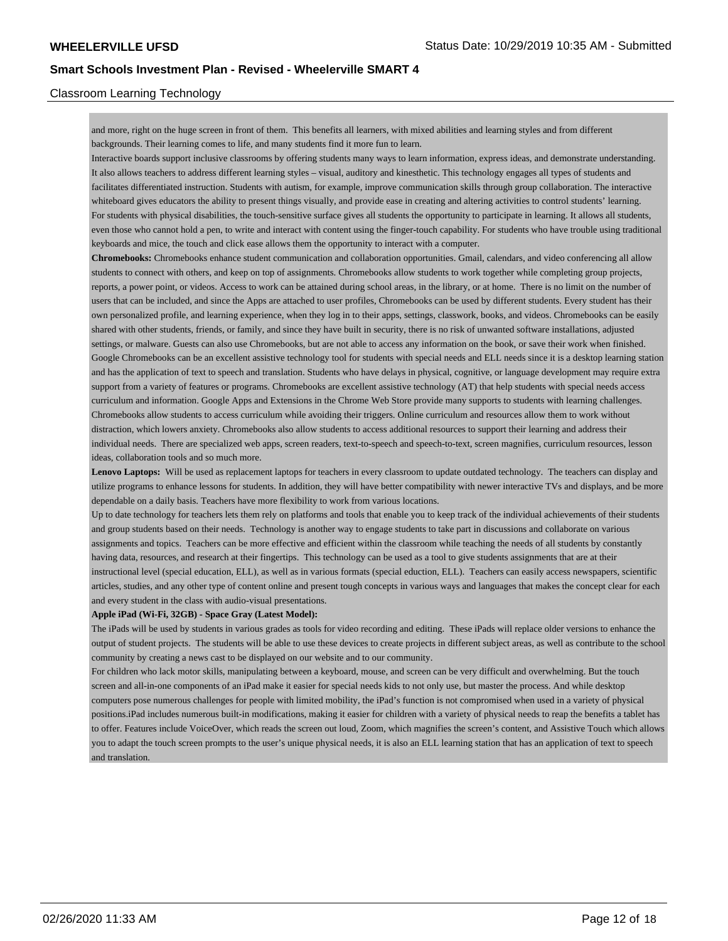### Classroom Learning Technology

and more, right on the huge screen in front of them. This benefits all learners, with mixed abilities and learning styles and from different backgrounds. Their learning comes to life, and many students find it more fun to learn.

Interactive boards support inclusive classrooms by offering students many ways to learn information, express ideas, and demonstrate understanding. It also allows teachers to address different learning styles – visual, auditory and kinesthetic. This technology engages all types of students and facilitates differentiated instruction. Students with autism, for example, improve communication skills through group collaboration. The interactive whiteboard gives educators the ability to present things visually, and provide ease in creating and altering activities to control students' learning. For students with physical disabilities, the touch-sensitive surface gives all students the opportunity to participate in learning. It allows all students, even those who cannot hold a pen, to write and interact with content using the finger-touch capability. For students who have trouble using traditional keyboards and mice, the touch and click ease allows them the opportunity to interact with a computer.

**Chromebooks:** Chromebooks enhance student communication and collaboration opportunities. Gmail, calendars, and video conferencing all allow students to connect with others, and keep on top of assignments. Chromebooks allow students to work together while completing group projects, reports, a power point, or videos. Access to work can be attained during school areas, in the library, or at home. There is no limit on the number of users that can be included, and since the Apps are attached to user profiles, Chromebooks can be used by different students. Every student has their own personalized profile, and learning experience, when they log in to their apps, settings, classwork, books, and videos. Chromebooks can be easily shared with other students, friends, or family, and since they have built in security, there is no risk of unwanted software installations, adjusted settings, or malware. Guests can also use Chromebooks, but are not able to access any information on the book, or save their work when finished. Google Chromebooks can be an excellent assistive technology tool for students with special needs and ELL needs since it is a desktop learning station and has the application of text to speech and translation. Students who have delays in physical, cognitive, or language development may require extra support from a variety of features or programs. Chromebooks are excellent assistive technology (AT) that help students with special needs access curriculum and information. Google Apps and Extensions in the Chrome Web Store provide many supports to students with learning challenges. Chromebooks allow students to access curriculum while avoiding their triggers. Online curriculum and resources allow them to work without distraction, which lowers anxiety. Chromebooks also allow students to access additional resources to support their learning and address their individual needs. There are specialized web apps, screen readers, text-to-speech and speech-to-text, screen magnifies, curriculum resources, lesson ideas, collaboration tools and so much more.

**Lenovo Laptops:** Will be used as replacement laptops for teachers in every classroom to update outdated technology. The teachers can display and utilize programs to enhance lessons for students. In addition, they will have better compatibility with newer interactive TVs and displays, and be more dependable on a daily basis. Teachers have more flexibility to work from various locations.

Up to date technology for teachers lets them rely on platforms and tools that enable you to keep track of the individual achievements of their students and group students based on their needs. Technology is another way to engage students to take part in discussions and collaborate on various assignments and topics. Teachers can be more effective and efficient within the classroom while teaching the needs of all students by constantly having data, resources, and research at their fingertips. This technology can be used as a tool to give students assignments that are at their instructional level (special education, ELL), as well as in various formats (special eduction, ELL). Teachers can easily access newspapers, scientific articles, studies, and any other type of content online and present tough concepts in various ways and languages that makes the concept clear for each and every student in the class with audio-visual presentations.

#### **Apple iPad (Wi-Fi, 32GB) - Space Gray (Latest Model):**

The iPads will be used by students in various grades as tools for video recording and editing. These iPads will replace older versions to enhance the output of student projects. The students will be able to use these devices to create projects in different subject areas, as well as contribute to the school community by creating a news cast to be displayed on our website and to our community.

For children who lack motor skills, manipulating between a keyboard, mouse, and screen can be very difficult and overwhelming. But the touch screen and all-in-one components of an iPad make it easier for special needs kids to not only use, but master the process. And while desktop computers pose numerous challenges for people with limited mobility, the iPad's function is not compromised when used in a variety of physical positions.iPad includes numerous built-in modifications, making it easier for children with a variety of physical needs to reap the benefits a tablet has to offer. Features include VoiceOver, which reads the screen out loud, Zoom, which magnifies the screen's content, and Assistive Touch which allows you to adapt the touch screen prompts to the user's unique physical needs, it is also an ELL learning station that has an application of text to speech and translation.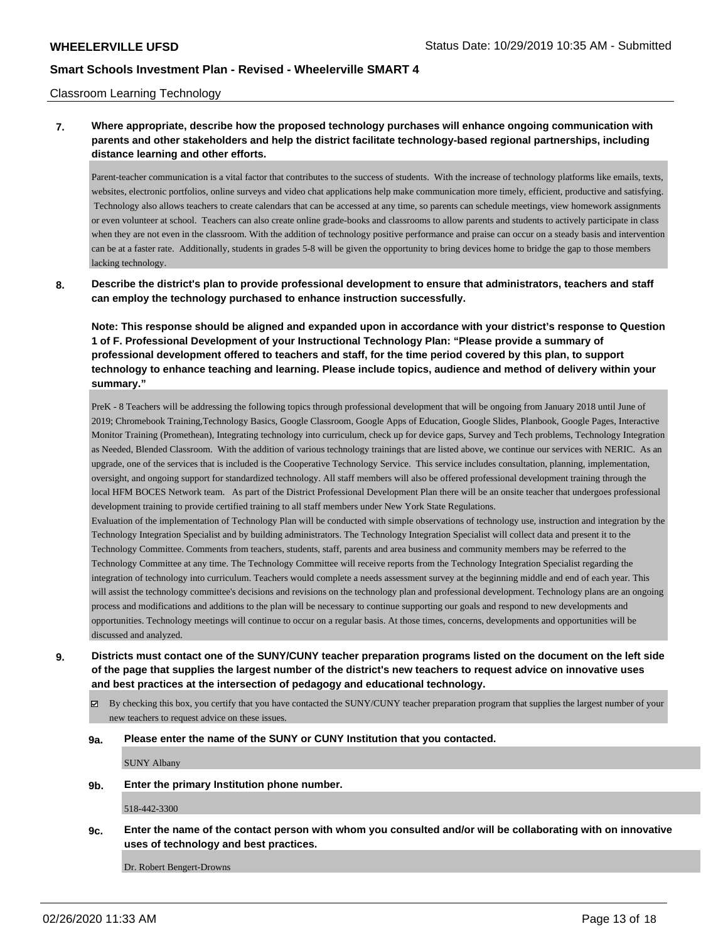### Classroom Learning Technology

## **7. Where appropriate, describe how the proposed technology purchases will enhance ongoing communication with parents and other stakeholders and help the district facilitate technology-based regional partnerships, including distance learning and other efforts.**

Parent-teacher communication is a vital factor that contributes to the success of students. With the increase of technology platforms like emails, texts, websites, electronic portfolios, online surveys and video chat applications help make communication more timely, efficient, productive and satisfying. Technology also allows teachers to create calendars that can be accessed at any time, so parents can schedule meetings, view homework assignments or even volunteer at school. Teachers can also create online grade-books and classrooms to allow parents and students to actively participate in class when they are not even in the classroom. With the addition of technology positive performance and praise can occur on a steady basis and intervention can be at a faster rate. Additionally, students in grades 5-8 will be given the opportunity to bring devices home to bridge the gap to those members lacking technology.

**8. Describe the district's plan to provide professional development to ensure that administrators, teachers and staff can employ the technology purchased to enhance instruction successfully.**

**Note: This response should be aligned and expanded upon in accordance with your district's response to Question 1 of F. Professional Development of your Instructional Technology Plan: "Please provide a summary of professional development offered to teachers and staff, for the time period covered by this plan, to support technology to enhance teaching and learning. Please include topics, audience and method of delivery within your summary."**

PreK - 8 Teachers will be addressing the following topics through professional development that will be ongoing from January 2018 until June of 2019; Chromebook Training,Technology Basics, Google Classroom, Google Apps of Education, Google Slides, Planbook, Google Pages, Interactive Monitor Training (Promethean), Integrating technology into curriculum, check up for device gaps, Survey and Tech problems, Technology Integration as Needed, Blended Classroom. With the addition of various technology trainings that are listed above, we continue our services with NERIC. As an upgrade, one of the services that is included is the Cooperative Technology Service. This service includes consultation, planning, implementation, oversight, and ongoing support for standardized technology. All staff members will also be offered professional development training through the local HFM BOCES Network team. As part of the District Professional Development Plan there will be an onsite teacher that undergoes professional development training to provide certified training to all staff members under New York State Regulations.

Evaluation of the implementation of Technology Plan will be conducted with simple observations of technology use, instruction and integration by the Technology Integration Specialist and by building administrators. The Technology Integration Specialist will collect data and present it to the Technology Committee. Comments from teachers, students, staff, parents and area business and community members may be referred to the Technology Committee at any time. The Technology Committee will receive reports from the Technology Integration Specialist regarding the integration of technology into curriculum. Teachers would complete a needs assessment survey at the beginning middle and end of each year. This will assist the technology committee's decisions and revisions on the technology plan and professional development. Technology plans are an ongoing process and modifications and additions to the plan will be necessary to continue supporting our goals and respond to new developments and opportunities. Technology meetings will continue to occur on a regular basis. At those times, concerns, developments and opportunities will be discussed and analyzed.

- **9. Districts must contact one of the SUNY/CUNY teacher preparation programs listed on the document on the left side of the page that supplies the largest number of the district's new teachers to request advice on innovative uses and best practices at the intersection of pedagogy and educational technology.**
	- $\boxtimes$  By checking this box, you certify that you have contacted the SUNY/CUNY teacher preparation program that supplies the largest number of your new teachers to request advice on these issues.

#### **9a. Please enter the name of the SUNY or CUNY Institution that you contacted.**

SUNY Albany

**9b. Enter the primary Institution phone number.**

518-442-3300

**9c. Enter the name of the contact person with whom you consulted and/or will be collaborating with on innovative uses of technology and best practices.**

Dr. Robert Bengert-Drowns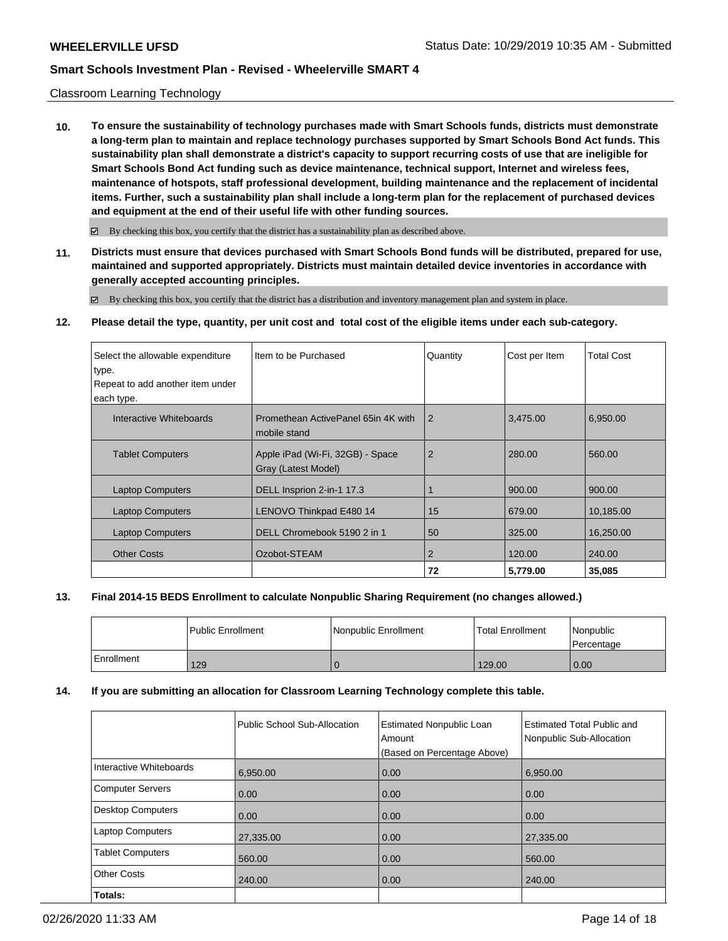### Classroom Learning Technology

**10. To ensure the sustainability of technology purchases made with Smart Schools funds, districts must demonstrate a long-term plan to maintain and replace technology purchases supported by Smart Schools Bond Act funds. This sustainability plan shall demonstrate a district's capacity to support recurring costs of use that are ineligible for Smart Schools Bond Act funding such as device maintenance, technical support, Internet and wireless fees, maintenance of hotspots, staff professional development, building maintenance and the replacement of incidental items. Further, such a sustainability plan shall include a long-term plan for the replacement of purchased devices and equipment at the end of their useful life with other funding sources.**

 $\boxtimes$  By checking this box, you certify that the district has a sustainability plan as described above.

**11. Districts must ensure that devices purchased with Smart Schools Bond funds will be distributed, prepared for use, maintained and supported appropriately. Districts must maintain detailed device inventories in accordance with generally accepted accounting principles.**

By checking this box, you certify that the district has a distribution and inventory management plan and system in place.

**12. Please detail the type, quantity, per unit cost and total cost of the eligible items under each sub-category.**

| Select the allowable expenditure<br>type.<br>Repeat to add another item under<br>each type. | Item to be Purchased                                    | Quantity       | Cost per Item | <b>Total Cost</b> |
|---------------------------------------------------------------------------------------------|---------------------------------------------------------|----------------|---------------|-------------------|
| Interactive Whiteboards                                                                     | Promethean ActivePanel 65in 4K with<br>mobile stand     | $\overline{2}$ | 3,475.00      | 6,950.00          |
| <b>Tablet Computers</b>                                                                     | Apple iPad (Wi-Fi, 32GB) - Space<br>Gray (Latest Model) | $\overline{2}$ | 280.00        | 560.00            |
| <b>Laptop Computers</b>                                                                     | DELL Insprion 2-in-1 17.3                               |                | 900.00        | 900.00            |
| <b>Laptop Computers</b>                                                                     | LENOVO Thinkpad E480 14                                 | 15             | 679.00        | 10,185.00         |
| <b>Laptop Computers</b>                                                                     | DELL Chromebook 5190 2 in 1                             | 50             | 325.00        | 16,250.00         |
| <b>Other Costs</b>                                                                          | Ozobot-STEAM                                            | 2              | 120.00        | 240.00            |
|                                                                                             |                                                         | 72             | 5,779.00      | 35,085            |

### **13. Final 2014-15 BEDS Enrollment to calculate Nonpublic Sharing Requirement (no changes allowed.)**

|                   | l Public Enrollment | Nonpublic Enrollment | <b>Total Enrollment</b> | Nonpublic<br>Percentage |
|-------------------|---------------------|----------------------|-------------------------|-------------------------|
| <b>Enrollment</b> | 129                 |                      | 129.00                  | 0.00                    |

### **14. If you are submitting an allocation for Classroom Learning Technology complete this table.**

|                         | Public School Sub-Allocation | <b>Estimated Nonpublic Loan</b><br>Amount<br>(Based on Percentage Above) | <b>Estimated Total Public and</b><br>Nonpublic Sub-Allocation |
|-------------------------|------------------------------|--------------------------------------------------------------------------|---------------------------------------------------------------|
| Interactive Whiteboards | 6,950.00                     | 0.00                                                                     | 6,950.00                                                      |
| Computer Servers        | 0.00                         | 0.00                                                                     | 0.00                                                          |
| Desktop Computers       | 0.00                         | 0.00                                                                     | 0.00                                                          |
| <b>Laptop Computers</b> | 27,335.00                    | 0.00                                                                     | 27,335.00                                                     |
| <b>Tablet Computers</b> | 560.00                       | 0.00                                                                     | 560.00                                                        |
| <b>Other Costs</b>      | 240.00                       | 0.00                                                                     | 240.00                                                        |
| Totals:                 |                              |                                                                          |                                                               |

02/26/2020 11:33 AM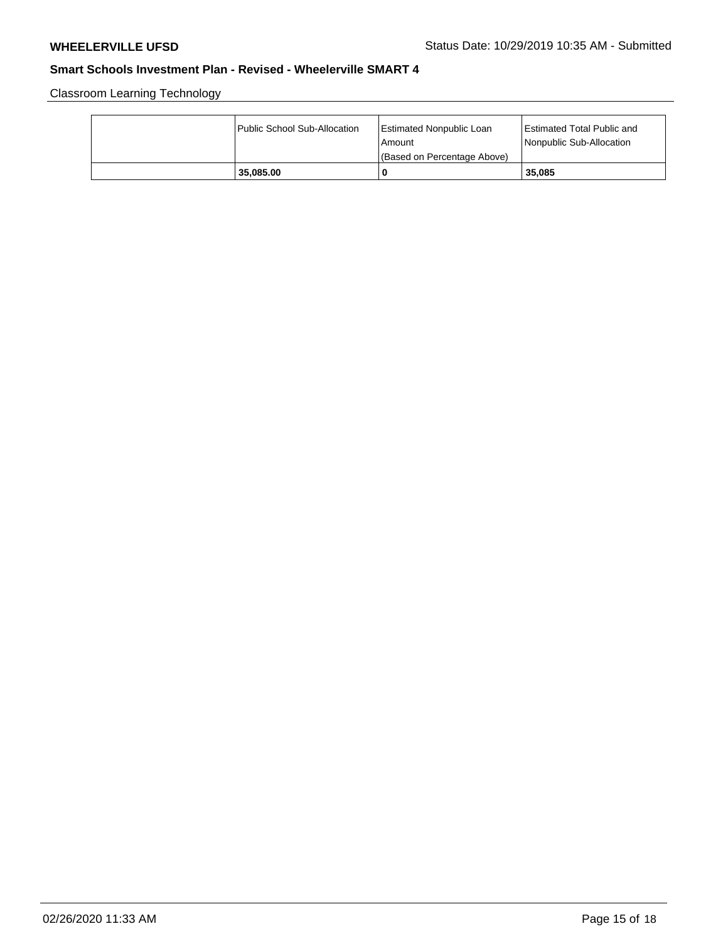Classroom Learning Technology

| Public School Sub-Allocation | Estimated Nonpublic Loan<br>l Amount<br>(Based on Percentage Above) | <b>Estimated Total Public and</b><br>Nonpublic Sub-Allocation |
|------------------------------|---------------------------------------------------------------------|---------------------------------------------------------------|
| 35.085.00                    | 0                                                                   | 35.085                                                        |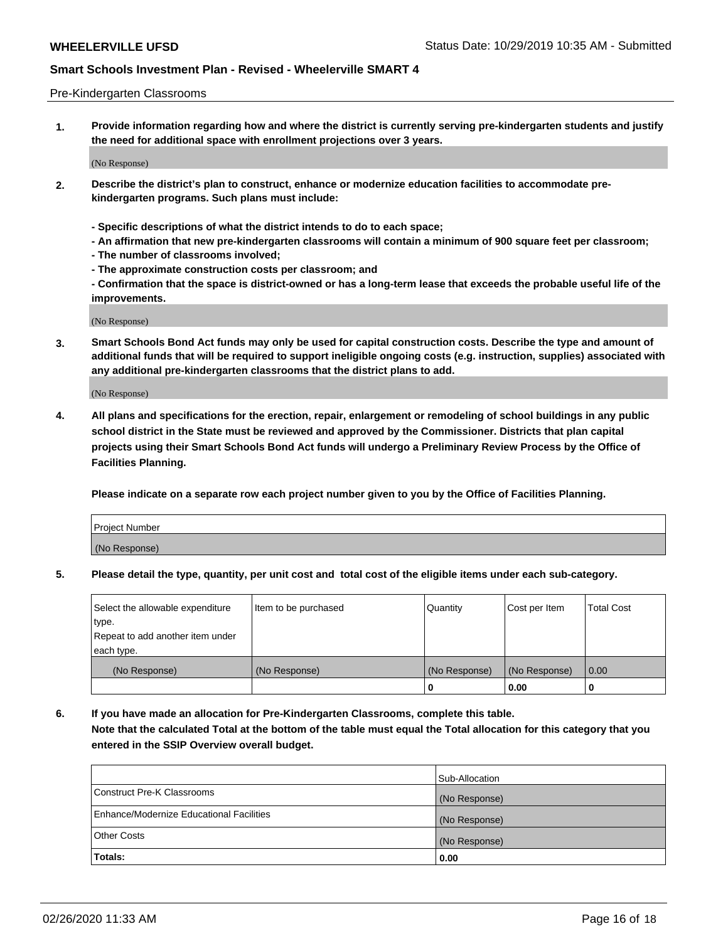### Pre-Kindergarten Classrooms

**1. Provide information regarding how and where the district is currently serving pre-kindergarten students and justify the need for additional space with enrollment projections over 3 years.**

(No Response)

- **2. Describe the district's plan to construct, enhance or modernize education facilities to accommodate prekindergarten programs. Such plans must include:**
	- **Specific descriptions of what the district intends to do to each space;**
	- **An affirmation that new pre-kindergarten classrooms will contain a minimum of 900 square feet per classroom;**
	- **The number of classrooms involved;**
	- **The approximate construction costs per classroom; and**
	- **Confirmation that the space is district-owned or has a long-term lease that exceeds the probable useful life of the improvements.**

(No Response)

**3. Smart Schools Bond Act funds may only be used for capital construction costs. Describe the type and amount of additional funds that will be required to support ineligible ongoing costs (e.g. instruction, supplies) associated with any additional pre-kindergarten classrooms that the district plans to add.**

(No Response)

**4. All plans and specifications for the erection, repair, enlargement or remodeling of school buildings in any public school district in the State must be reviewed and approved by the Commissioner. Districts that plan capital projects using their Smart Schools Bond Act funds will undergo a Preliminary Review Process by the Office of Facilities Planning.**

**Please indicate on a separate row each project number given to you by the Office of Facilities Planning.**

| Project Number |  |
|----------------|--|
| (No Response)  |  |
|                |  |

**5. Please detail the type, quantity, per unit cost and total cost of the eligible items under each sub-category.**

| Select the allowable expenditure | Item to be purchased | Quantity      | Cost per Item | <b>Total Cost</b> |
|----------------------------------|----------------------|---------------|---------------|-------------------|
| type.                            |                      |               |               |                   |
| Repeat to add another item under |                      |               |               |                   |
| each type.                       |                      |               |               |                   |
| (No Response)                    | (No Response)        | (No Response) | (No Response) | 0.00              |
|                                  |                      | υ             | 0.00          |                   |

**6. If you have made an allocation for Pre-Kindergarten Classrooms, complete this table. Note that the calculated Total at the bottom of the table must equal the Total allocation for this category that you entered in the SSIP Overview overall budget.**

|                                          | Sub-Allocation |
|------------------------------------------|----------------|
| Construct Pre-K Classrooms               | (No Response)  |
| Enhance/Modernize Educational Facilities | (No Response)  |
| <b>Other Costs</b>                       | (No Response)  |
| Totals:                                  | 0.00           |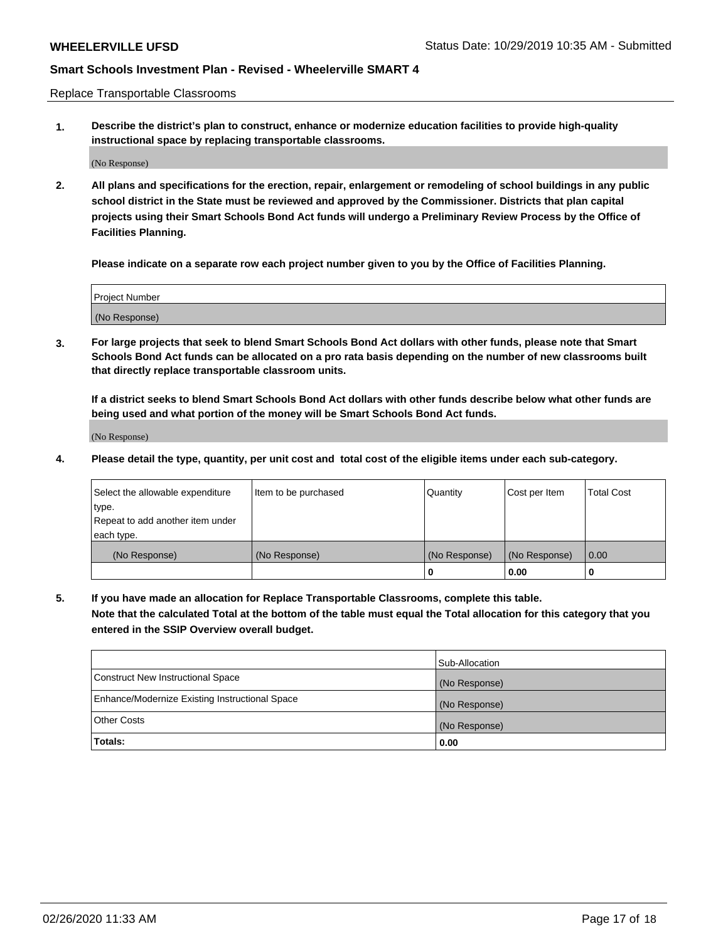Replace Transportable Classrooms

**1. Describe the district's plan to construct, enhance or modernize education facilities to provide high-quality instructional space by replacing transportable classrooms.**

(No Response)

**2. All plans and specifications for the erection, repair, enlargement or remodeling of school buildings in any public school district in the State must be reviewed and approved by the Commissioner. Districts that plan capital projects using their Smart Schools Bond Act funds will undergo a Preliminary Review Process by the Office of Facilities Planning.**

**Please indicate on a separate row each project number given to you by the Office of Facilities Planning.**

| Project Number |  |
|----------------|--|
|                |  |
|                |  |
|                |  |
|                |  |
| (No Response)  |  |
|                |  |
|                |  |
|                |  |

**3. For large projects that seek to blend Smart Schools Bond Act dollars with other funds, please note that Smart Schools Bond Act funds can be allocated on a pro rata basis depending on the number of new classrooms built that directly replace transportable classroom units.**

**If a district seeks to blend Smart Schools Bond Act dollars with other funds describe below what other funds are being used and what portion of the money will be Smart Schools Bond Act funds.**

(No Response)

**4. Please detail the type, quantity, per unit cost and total cost of the eligible items under each sub-category.**

| Select the allowable expenditure | Item to be purchased | Quantity      | Cost per Item | Total Cost |
|----------------------------------|----------------------|---------------|---------------|------------|
| ∣type.                           |                      |               |               |            |
| Repeat to add another item under |                      |               |               |            |
| each type.                       |                      |               |               |            |
| (No Response)                    | (No Response)        | (No Response) | (No Response) | 0.00       |
|                                  |                      | u             | 0.00          |            |

**5. If you have made an allocation for Replace Transportable Classrooms, complete this table. Note that the calculated Total at the bottom of the table must equal the Total allocation for this category that you entered in the SSIP Overview overall budget.**

|                                                | Sub-Allocation |
|------------------------------------------------|----------------|
| Construct New Instructional Space              | (No Response)  |
| Enhance/Modernize Existing Instructional Space | (No Response)  |
| Other Costs                                    | (No Response)  |
| Totals:                                        | 0.00           |